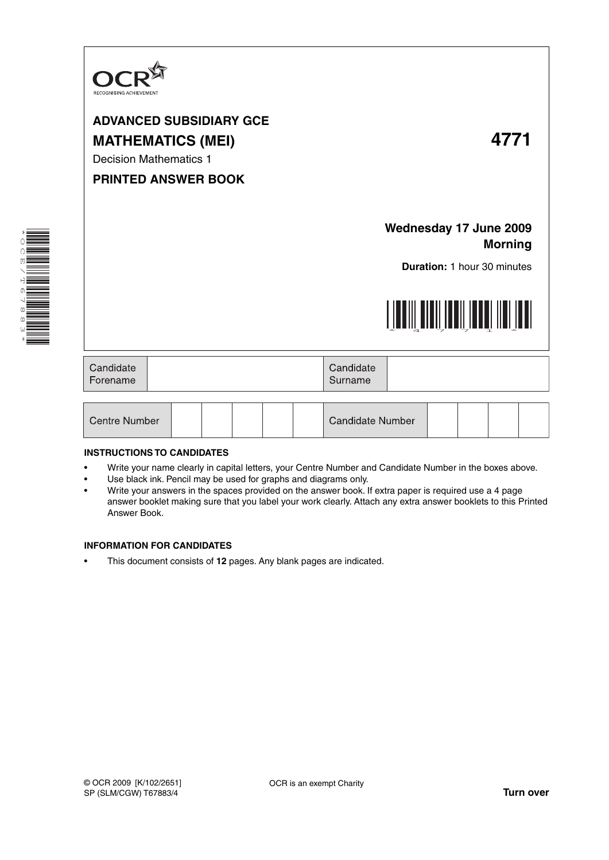

# **ADVANCED SUBSIDIARY GCE MATHEMATICS (MEI) 4771**

Decision Mathematics 1

### **PRINTED ANSWER BOOK**

## **Wednesday 17 June 2009 Morning**

**Duration:** 1 hour 30 minutes



| Candidate<br>Forename |  | Candidate<br>Surname |  |
|-----------------------|--|----------------------|--|
|-----------------------|--|----------------------|--|

| <b>Centre Number</b> |  |  |  |  |  | <b>Candidate Number</b> |  |  |  |  |  |
|----------------------|--|--|--|--|--|-------------------------|--|--|--|--|--|
|----------------------|--|--|--|--|--|-------------------------|--|--|--|--|--|

#### **INSTRUCTIONS TO CANDIDATES**

- Write your name clearly in capital letters, your Centre Number and Candidate Number in the boxes above.
- Use black ink. Pencil may be used for graphs and diagrams only.
- Write your answers in the spaces provided on the answer book. If extra paper is required use a 4 page answer booklet making sure that you label your work clearly. Attach any extra answer booklets to this Printed Answer Book.

#### **INFORMATION FOR CANDIDATES**

• This document consists of **12** pages. Any blank pages are indicated.

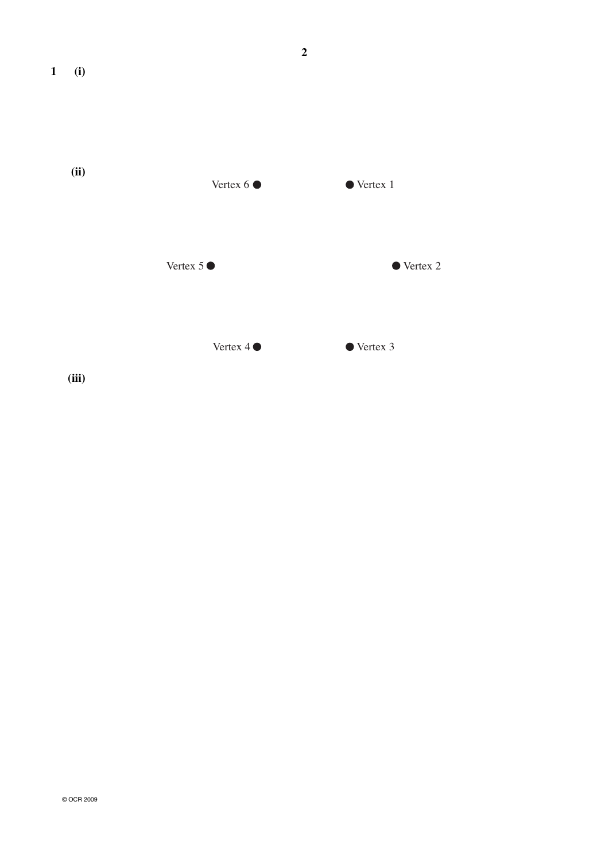

Vertex 4  $\bullet$  Vertex 3

 **(iii)**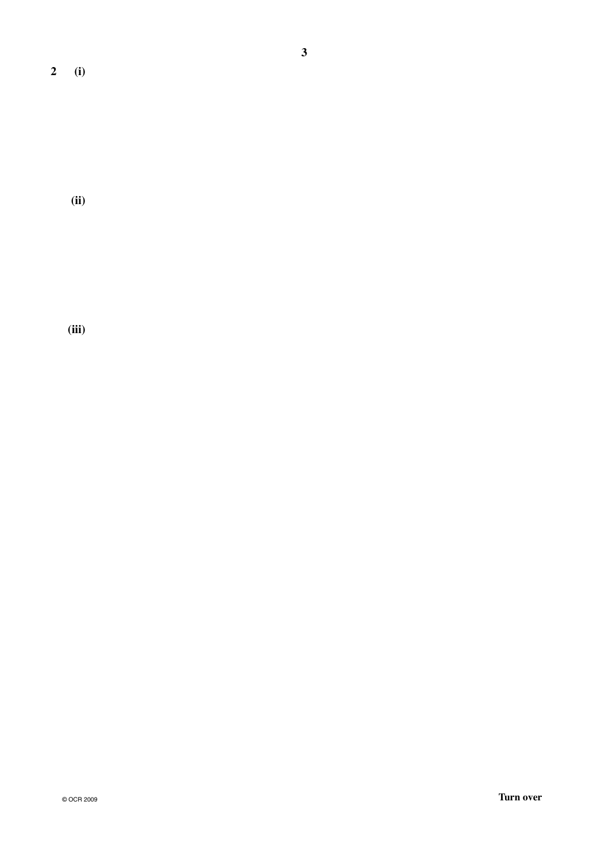**2 (i)**

 **(ii)**

 **(iii)**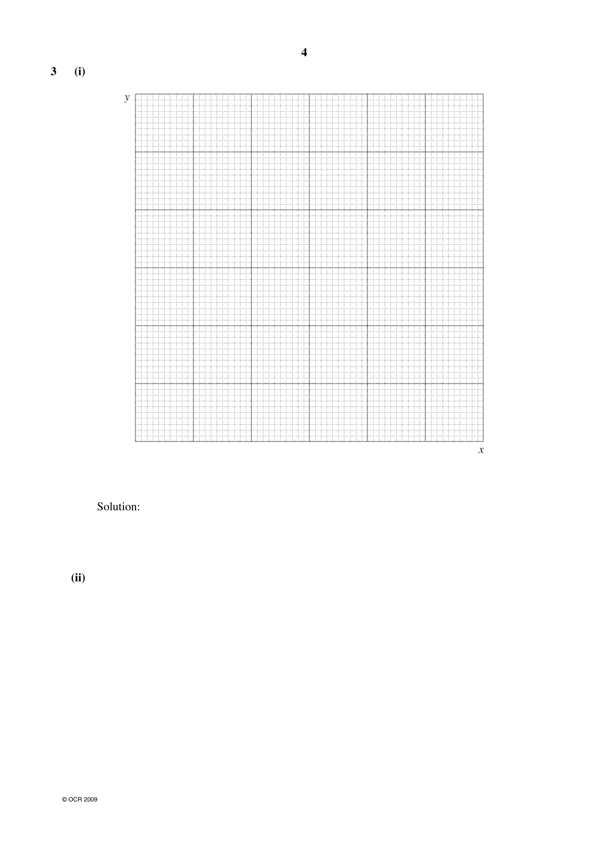**3 (i)**



Solution:

 **(ii)**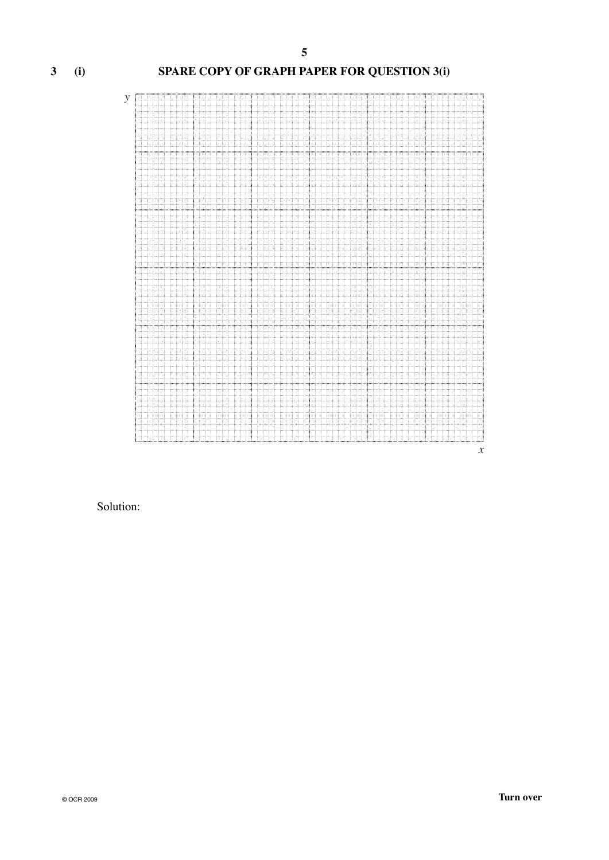#### **3 (i) SPARE COPY OF GRAPH PAPER FOR QUESTION 3(i)**



#### Solution: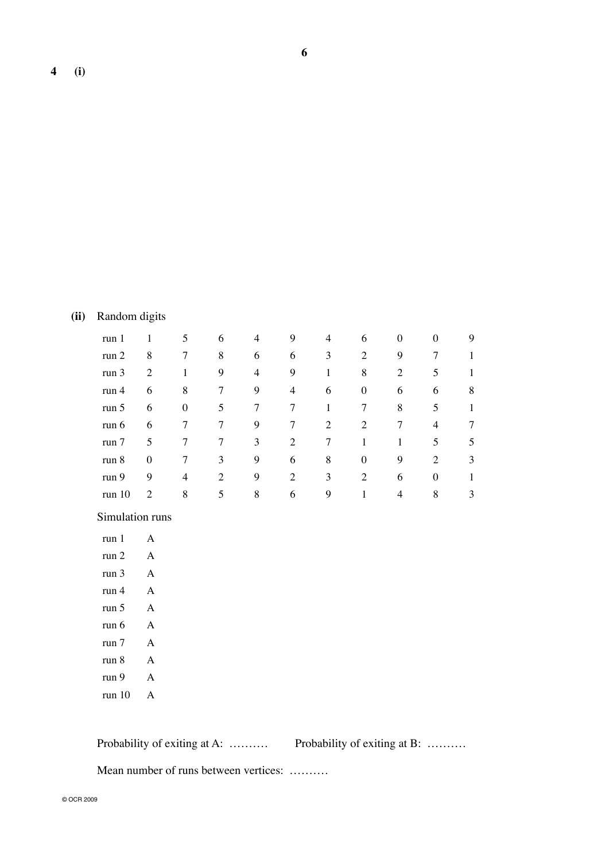### **(ii)** Random digits

| run <sub>1</sub> |                | 5 | 6 | 4 | 9 | 4 | 6                | $\theta$ | $\theta$       | 9 |
|------------------|----------------|---|---|---|---|---|------------------|----------|----------------|---|
| run 2            | 8              |   | 8 | 6 | 6 | 3 | 2                | 9        | 7              |   |
| run 3            | 2              |   | 9 | 4 | 9 |   | 8                | 2        | 5              |   |
| run <sub>4</sub> | 6              | 8 | 7 | 9 | 4 | 6 | $\theta$         | 6        | 6              | 8 |
| run 5            | 6              | 0 | 5 | 7 | 7 |   |                  | 8        | 5              |   |
| run 6            | 6              |   |   | 9 | 7 | 2 | 2                | 7        | 4              | 7 |
| run 7            | 5              |   | 7 | 3 | 2 | 7 |                  |          | 5              | 5 |
| run 8            | $\overline{0}$ | 7 | 3 | 9 | 6 | 8 | $\boldsymbol{0}$ | 9        | $\overline{c}$ | 3 |
| run 9            | 9              | 4 | 2 | 9 | 2 | 3 | 2                | 6        | $\theta$       |   |
| run 10           | 2              | 8 | 5 | 8 | 6 | 9 |                  | 4        | 8              | 3 |

### Simulation runs

| run 1  |        |
|--------|--------|
| run 2  | A      |
| run 3  | A      |
| run 4  | A      |
| run 5  | A      |
| run 6  | A      |
| run 7  | A      |
| run 8  | A      |
| run 9  | L<br>Α |
| run 10 |        |

**Probability of exiting at A: ………..** Probability of exiting at B: ……….

Mean number of runs between vertices: ……….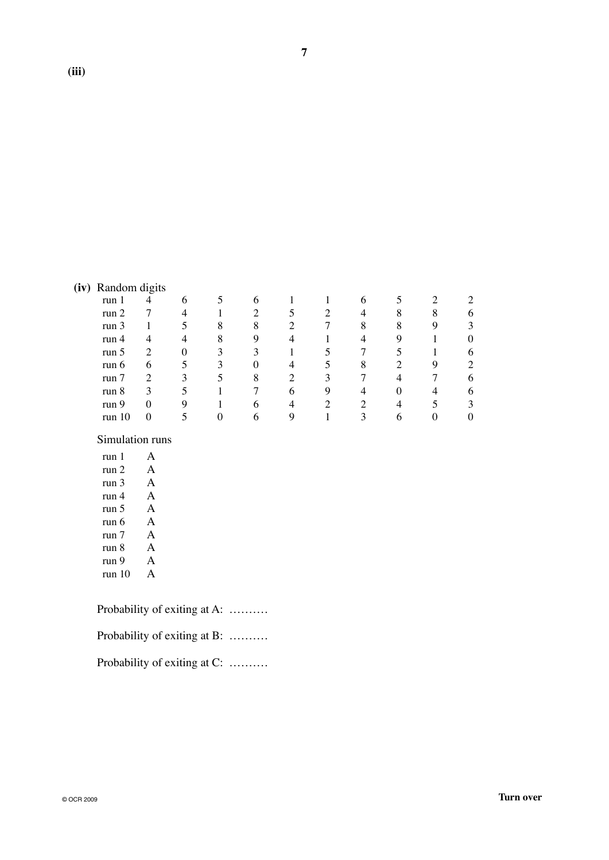| (iv) | Random digits |   |          |   |                  |   |   |   |   |   |   |
|------|---------------|---|----------|---|------------------|---|---|---|---|---|---|
|      | run 1         | 4 | 6        |   | 6                |   |   | 6 |   |   |   |
|      | run 2         |   | 4        |   | $\overline{c}$   |   | ി | 4 | 8 | 8 |   |
|      | run 3         |   | 5        | 8 | 8                | ∍ |   | 8 | 8 | 9 | 3 |
|      | run $4$       | 4 | 4        | 8 | 9                | 4 |   | 4 | 9 |   |   |
|      | run 5         | 2 | $\Omega$ | 3 | 3                |   |   |   |   |   | 6 |
|      | run $6$       | 6 | 5        | 3 | $\boldsymbol{0}$ | 4 |   | 8 | ∍ | 9 | 2 |
|      | run 7         | 2 | 3        | 5 | 8                | 2 | 3 |   | 4 |   | Һ |
|      | run 8         | 3 |          |   |                  | 6 | 9 |   |   | 4 |   |
|      | run 9         | 0 | Q        |   | 6                |   | ◠ |   |   |   | 3 |

run 10 0 5 0 6 9 1 3 6 0 0

Simulation runs

| run 1  |              |
|--------|--------------|
| run 2  | $\Delta$     |
| run 3  | A            |
| run 4  | A            |
| run 5  | A            |
| run 6  | A            |
| run 7  | $\mathbf{A}$ |
| run 8  | $\Delta$     |
| run 9  | A            |
| run 10 |              |

| Probability of exiting at A: |  |
|------------------------------|--|
| Probability of exiting at B: |  |
| Probability of exiting at C: |  |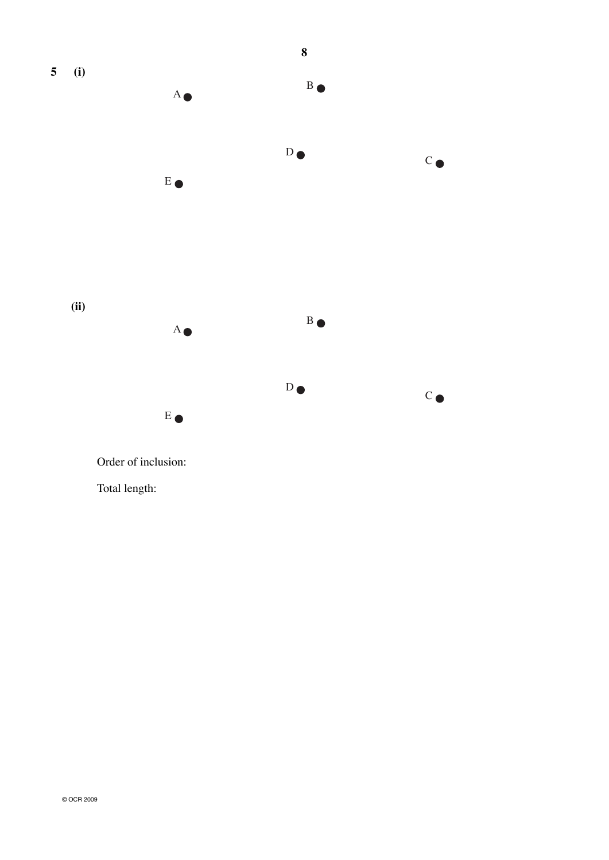

Order of inclusion:

Total length: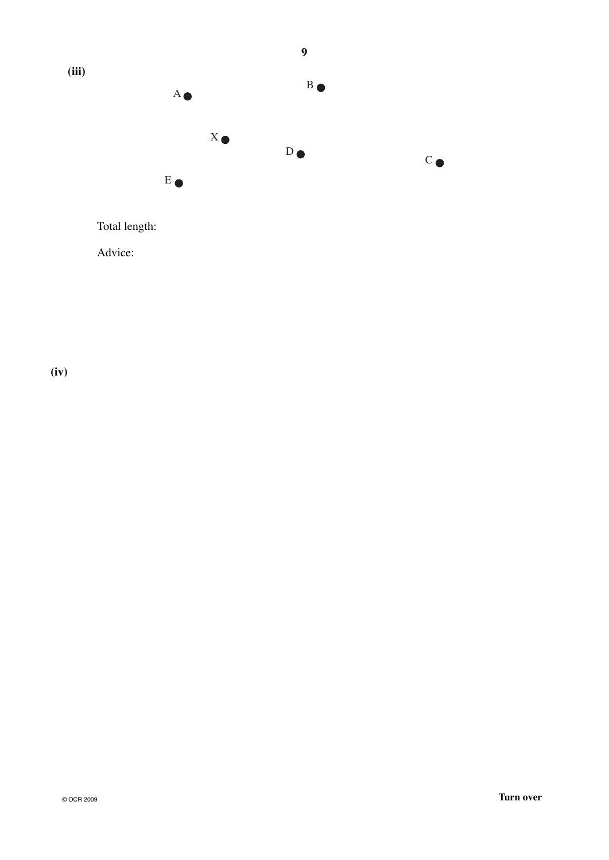

Advice:

**(iv)**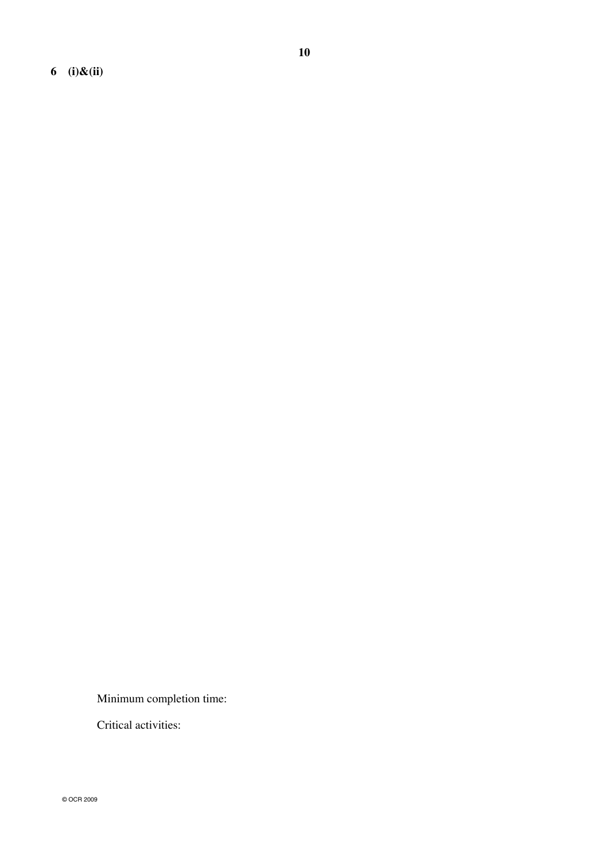**6 (i)&(ii)**

Minimum completion time:

Critical activities: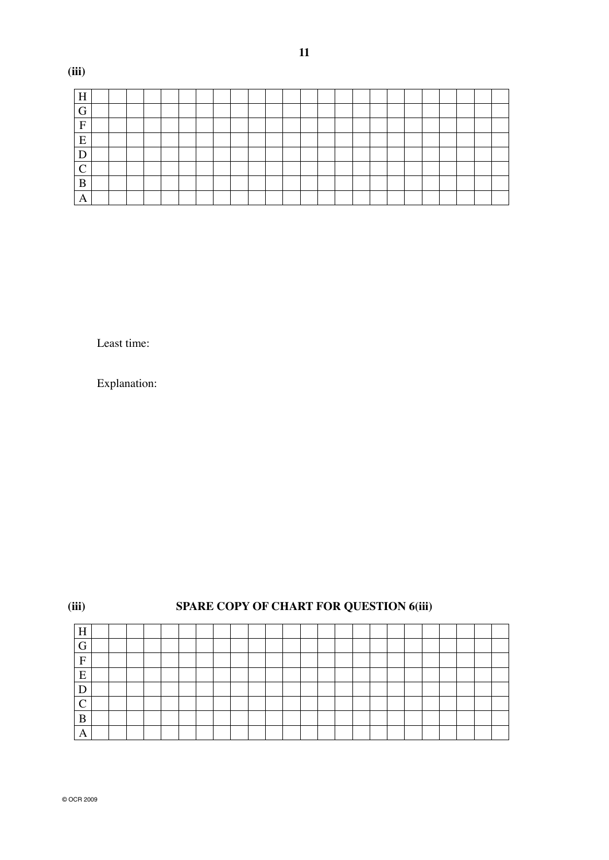| $H_{\rm}$<br>- |  |  |  |  |  |  |  |  |  |  |  |  |
|----------------|--|--|--|--|--|--|--|--|--|--|--|--|
| $\overline{G}$ |  |  |  |  |  |  |  |  |  |  |  |  |
| ${\bf F}$      |  |  |  |  |  |  |  |  |  |  |  |  |
| E              |  |  |  |  |  |  |  |  |  |  |  |  |
| D              |  |  |  |  |  |  |  |  |  |  |  |  |
| $\Gamma$<br>╰  |  |  |  |  |  |  |  |  |  |  |  |  |
| $\bf{B}$       |  |  |  |  |  |  |  |  |  |  |  |  |
| $\overline{A}$ |  |  |  |  |  |  |  |  |  |  |  |  |

Least time:

 **(iii)**

Explanation:

| (iii)   | <b>SPARE COPY OF CHART FOR QUESTION 6(iii)</b> |  |  |  |  |  |  |  |  |  |  |  |  |  |  |  |  |  |  |
|---------|------------------------------------------------|--|--|--|--|--|--|--|--|--|--|--|--|--|--|--|--|--|--|
| H       |                                                |  |  |  |  |  |  |  |  |  |  |  |  |  |  |  |  |  |  |
| ⌒<br>п. |                                                |  |  |  |  |  |  |  |  |  |  |  |  |  |  |  |  |  |  |
| F       |                                                |  |  |  |  |  |  |  |  |  |  |  |  |  |  |  |  |  |  |
| E       |                                                |  |  |  |  |  |  |  |  |  |  |  |  |  |  |  |  |  |  |
|         |                                                |  |  |  |  |  |  |  |  |  |  |  |  |  |  |  |  |  |  |
|         |                                                |  |  |  |  |  |  |  |  |  |  |  |  |  |  |  |  |  |  |
| B       |                                                |  |  |  |  |  |  |  |  |  |  |  |  |  |  |  |  |  |  |
| А       |                                                |  |  |  |  |  |  |  |  |  |  |  |  |  |  |  |  |  |  |